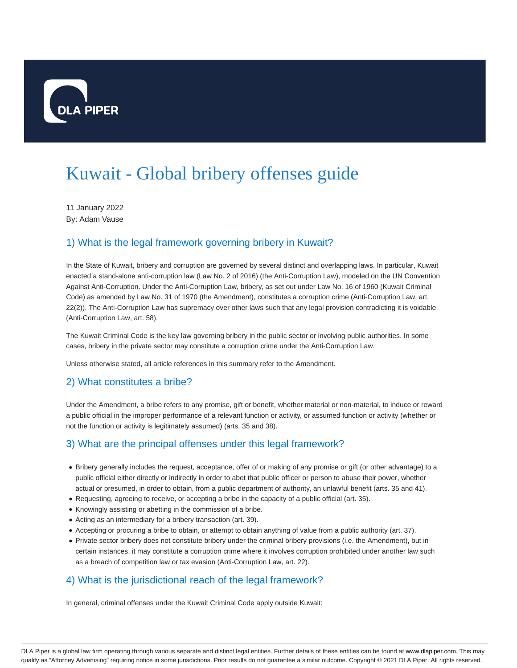

# Kuwait - Global bribery offenses guide

11 January 2022 By: Adam Vause

# 1) What is the legal framework governing bribery in Kuwait?

In the State of Kuwait, bribery and corruption are governed by several distinct and overlapping laws. In particular, Kuwait enacted a stand-alone anti-corruption law (Law No. 2 of 2016) (the Anti-Corruption Law), modeled on the UN Convention Against Anti-Corruption. Under the Anti-Corruption Law, bribery, as set out under Law No. 16 of 1960 (Kuwait Criminal Code) as amended by Law No. 31 of 1970 (the Amendment), constitutes a corruption crime (Anti-Corruption Law, art. 22(2)). The Anti-Corruption Law has supremacy over other laws such that any legal provision contradicting it is voidable (Anti-Corruption Law, art. 58).

The Kuwait Criminal Code is the key law governing bribery in the public sector or involving public authorities. In some cases, bribery in the private sector may constitute a corruption crime under the Anti-Corruption Law.

Unless otherwise stated, all article references in this summary refer to the Amendment.

#### 2) What constitutes a bribe?

Under the Amendment, a bribe refers to any promise, gift or benefit, whether material or non-material, to induce or reward a public official in the improper performance of a relevant function or activity, or assumed function or activity (whether or not the function or activity is legitimately assumed) (arts. 35 and 38).

## 3) What are the principal offenses under this legal framework?

- Bribery generally includes the request, acceptance, offer of or making of any promise or gift (or other advantage) to a public official either directly or indirectly in order to abet that public officer or person to abuse their power, whether actual or presumed, in order to obtain, from a public department of authority, an unlawful benefit (arts. 35 and 41).
- Requesting, agreeing to receive, or accepting a bribe in the capacity of a public official (art. 35).
- Knowingly assisting or abetting in the commission of a bribe.
- Acting as an intermediary for a bribery transaction (art. 39).
- Accepting or procuring a bribe to obtain, or attempt to obtain anything of value from a public authority (art. 37).
- Private sector bribery does not constitute bribery under the criminal bribery provisions (i.e. the Amendment), but in certain instances, it may constitute a corruption crime where it involves corruption prohibited under another law such as a breach of competition law or tax evasion (Anti-Corruption Law, art. 22).

## 4) What is the jurisdictional reach of the legal framework?

In general, criminal offenses under the Kuwait Criminal Code apply outside Kuwait: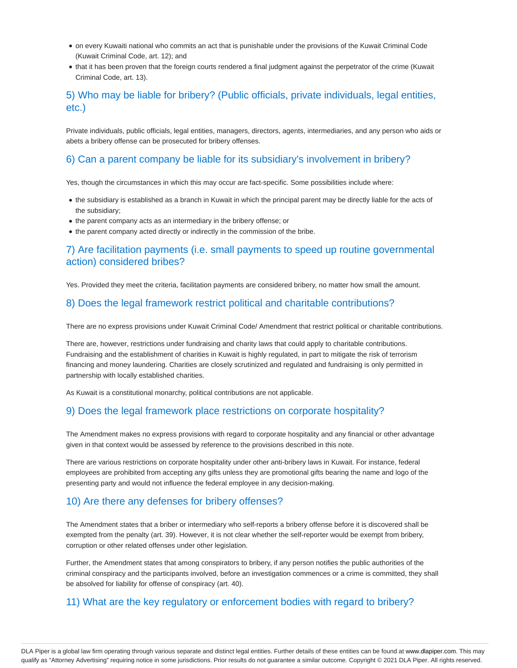- on every Kuwaiti national who commits an act that is punishable under the provisions of the Kuwait Criminal Code (Kuwait Criminal Code, art. 12); and
- that it has been proven that the foreign courts rendered a final judgment against the perpetrator of the crime (Kuwait Criminal Code, art. 13).

## 5) Who may be liable for bribery? (Public officials, private individuals, legal entities, etc.)

Private individuals, public officials, legal entities, managers, directors, agents, intermediaries, and any person who aids or abets a bribery offense can be prosecuted for bribery offenses.

## 6) Can a parent company be liable for its subsidiary's involvement in bribery?

Yes, though the circumstances in which this may occur are fact-specific. Some possibilities include where:

- the subsidiary is established as a branch in Kuwait in which the principal parent may be directly liable for the acts of the subsidiary;
- the parent company acts as an intermediary in the bribery offense; or
- the parent company acted directly or indirectly in the commission of the bribe.

### 7) Are facilitation payments (i.e. small payments to speed up routine governmental action) considered bribes?

Yes. Provided they meet the criteria, facilitation payments are considered bribery, no matter how small the amount.

#### 8) Does the legal framework restrict political and charitable contributions?

There are no express provisions under Kuwait Criminal Code/ Amendment that restrict political or charitable contributions.

There are, however, restrictions under fundraising and charity laws that could apply to charitable contributions. Fundraising and the establishment of charities in Kuwait is highly regulated, in part to mitigate the risk of terrorism financing and money laundering. Charities are closely scrutinized and regulated and fundraising is only permitted in partnership with locally established charities.

As Kuwait is a constitutional monarchy, political contributions are not applicable.

#### 9) Does the legal framework place restrictions on corporate hospitality?

The Amendment makes no express provisions with regard to corporate hospitality and any financial or other advantage given in that context would be assessed by reference to the provisions described in this note.

There are various restrictions on corporate hospitality under other anti-bribery laws in Kuwait. For instance, federal employees are prohibited from accepting any gifts unless they are promotional gifts bearing the name and logo of the presenting party and would not influence the federal employee in any decision-making.

#### 10) Are there any defenses for bribery offenses?

The Amendment states that a briber or intermediary who self-reports a bribery offense before it is discovered shall be exempted from the penalty (art. 39). However, it is not clear whether the self-reporter would be exempt from bribery, corruption or other related offenses under other legislation.

Further, the Amendment states that among conspirators to bribery, if any person notifies the public authorities of the criminal conspiracy and the participants involved, before an investigation commences or a crime is committed, they shall be absolved for liability for offense of conspiracy (art. 40).

#### 11) What are the key regulatory or enforcement bodies with regard to bribery?

DLA Piper is a global law firm operating through various separate and distinct legal entities. Further details of these entities can be found at www.dlapiper.com. This may qualify as "Attorney Advertising" requiring notice in some jurisdictions. Prior results do not guarantee a similar outcome. Copyright © 2021 DLA Piper. All rights reserved.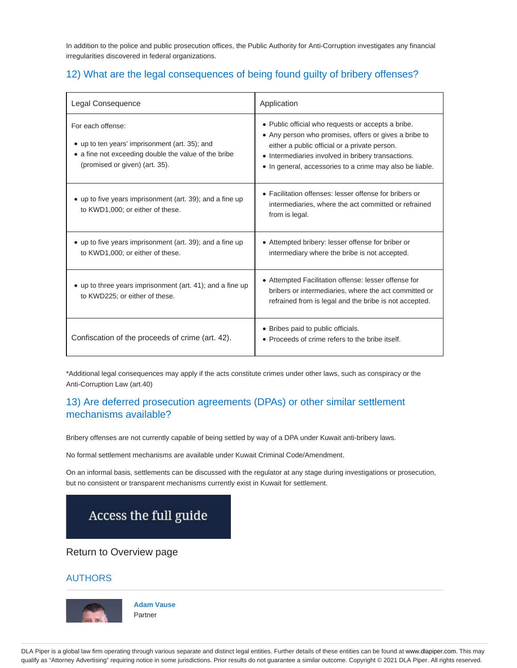In addition to the police and public prosecution offices, the Public Authority for Anti-Corruption investigates any financial irregularities discovered in federal organizations.

# 12) What are the legal consequences of being found guilty of bribery offenses?

| Legal Consequence                                                                                                                                             | Application                                                                                                                                                                                                                                                                    |
|---------------------------------------------------------------------------------------------------------------------------------------------------------------|--------------------------------------------------------------------------------------------------------------------------------------------------------------------------------------------------------------------------------------------------------------------------------|
| For each offense:<br>• up to ten years' imprisonment (art. 35); and<br>• a fine not exceeding double the value of the bribe<br>(promised or given) (art. 35). | • Public official who requests or accepts a bribe.<br>• Any person who promises, offers or gives a bribe to<br>either a public official or a private person.<br>• Intermediaries involved in bribery transactions.<br>• In general, accessories to a crime may also be liable. |
| • up to five years imprisonment (art. 39); and a fine up<br>to KWD1,000; or either of these.                                                                  | • Facilitation offenses: lesser offense for bribers or<br>intermediaries, where the act committed or refrained<br>from is legal.                                                                                                                                               |
| • up to five years imprisonment (art. 39); and a fine up<br>to KWD1,000; or either of these.                                                                  | • Attempted bribery: lesser offense for briber or<br>intermediary where the bribe is not accepted.                                                                                                                                                                             |
| • up to three years imprisonment (art. 41); and a fine up<br>to KWD225; or either of these.                                                                   | • Attempted Facilitation offense: lesser offense for<br>bribers or intermediaries, where the act committed or<br>refrained from is legal and the bribe is not accepted.                                                                                                        |
| Confiscation of the proceeds of crime (art. 42).                                                                                                              | • Bribes paid to public officials.<br>• Proceeds of crime refers to the bribe itself.                                                                                                                                                                                          |

\*Additional legal consequences may apply if the acts constitute crimes under other laws, such as conspiracy or the Anti-Corruption Law (art.40)

## 13) Are deferred prosecution agreements (DPAs) or other similar settlement mechanisms available?

Bribery offenses are not currently capable of being settled by way of a DPA under Kuwait anti-bribery laws.

No formal settlement mechanisms are available under Kuwait Criminal Code/Amendment.

On an informal basis, settlements can be discussed with the regulator at any stage during investigations or prosecution, but no consistent or transparent mechanisms currently exist in Kuwait for settlement.



## Return to Overview page

#### AUTHORS



**Adam Vause** Partner

DLA Piper is a global law firm operating through various separate and distinct legal entities. Further details of these entities can be found at www.dlapiper.com. This may qualify as "Attorney Advertising" requiring notice in some jurisdictions. Prior results do not guarantee a similar outcome. Copyright @ 2021 DLA Piper. All rights reserved.